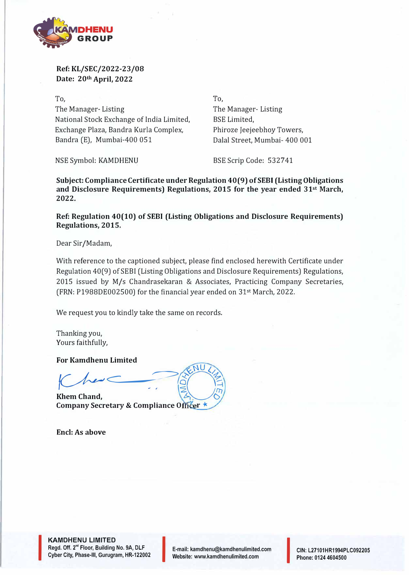

## **Ref: KL/SEC/2022-23/08 Date: 20th April, 2022**

To, The Manager- Listing National Stock Exchange of India Limited, BSE Limited, Exchange Plaza, Sandra Kurla Complex, Sandra (E), Mumbai-400 051

**To,**  The Manager- Listing Phiroze Jeejeebhoy Towers, Dalal Street, Mumbai- 400 001

NSE Symbol: KAMDHENU BSE Scrip Code: 532741

**Subject: Compliance Certificate under Regulation 40(9) of SEBI (Listing Obligations and Disclosure Requirements) Regulations, 2015 for the year ended 31st March, 2022.** 

**Ref: Regulation 40(10) of SEBI (Listing Obligations and Disclosure Requirements) Regulations, 2015.** 

Dear Sir/Madam,

With reference to the captioned subject, please find enclosed herewith Certificate under Regulation 40(9) of SESI (Listing Obligations and Disclosure Requirements) Regulations, 2015 issued by M/s Chandrasekaran & Associates, Practicing Company Secretaries, (FRN: P1988DE002500) for the financial year ended on 31st March, 2022.

We request you to kindly take the same on records.

Thanking you, Yours faithfully,

**For Kamdhenu Limited** 

 $r = \frac{1}{\sqrt{2}}$ - SENULAR

**Khem Chand, Company Secretary & Compliance Officer \*** 

**Encl: As above** 

**KAMDHENU LIMITED**  Regd. Off. 2<sup>nd</sup> Floor, Building No. 9A, DLF Cyber City, Phase-III, Gurugram, HR-122002

I

E-mail: kamdhenu@kamdhenulimited.com E-mail: kamdhenu@kamdhenulimited.com<br>Website: www.kamdhenulimited.com

CIN: L27101HR1994PLC092205 Phone: 0124 4604500